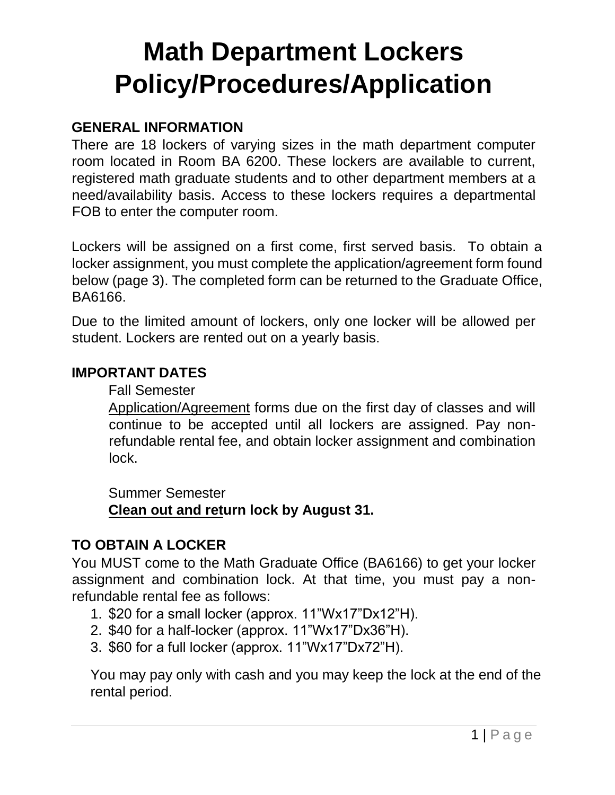# **Math Department Lockers Policy/Procedures/Application**

#### **GENERAL INFORMATION**

There are 18 lockers of varying sizes in the math department computer room located in Room BA 6200. These lockers are available to current, registered math graduate students and to other department members at a need/availability basis. Access to these lockers requires a departmental FOB to enter the computer room.

Lockers will be assigned on a first come, first served basis. To obtain a locker assignment, you must complete the application/agreement form found below (page 3). The completed form can be returned to the Graduate Office, BA6166.

Due to the limited amount of lockers, only one locker will be allowed per student. Lockers are rented out on a yearly basis.

#### **IMPORTANT DATES**

Fall Semester

Application/Agreement forms due on the first day of classes and will continue to be accepted until all lockers are assigned. Pay nonrefundable rental fee, and obtain locker assignment and combination lock.

Summer Semester

**Clean out and return lock by August 31.** 

## **TO OBTAIN A LOCKER**

You MUST come to the Math Graduate Office (BA6166) to get your locker assignment and combination lock. At that time, you must pay a nonrefundable rental fee as follows:

- 1. \$20 for a small locker (approx. 11"Wx17"Dx12"H).
- 2. \$40 for a half-locker (approx. 11"Wx17"Dx36"H).
- 3. \$60 for a full locker (approx. 11"Wx17"Dx72"H).

You may pay only with cash and you may keep the lock at the end of the rental period.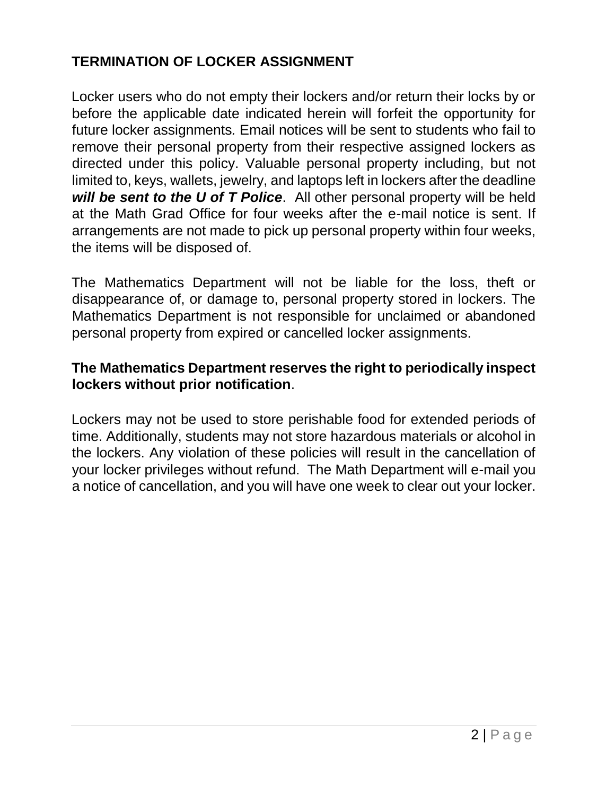## **TERMINATION OF LOCKER ASSIGNMENT**

Locker users who do not empty their lockers and/or return their locks by or before the applicable date indicated herein will forfeit the opportunity for future locker assignments*.* Email notices will be sent to students who fail to remove their personal property from their respective assigned lockers as directed under this policy. Valuable personal property including, but not limited to, keys, wallets, jewelry, and laptops left in lockers after the deadline *will be sent to the U of T Police*. All other personal property will be held at the Math Grad Office for four weeks after the e-mail notice is sent. If arrangements are not made to pick up personal property within four weeks, the items will be disposed of.

The Mathematics Department will not be liable for the loss, theft or disappearance of, or damage to, personal property stored in lockers. The Mathematics Department is not responsible for unclaimed or abandoned personal property from expired or cancelled locker assignments.

#### **The Mathematics Department reserves the right to periodically inspect lockers without prior notification**.

Lockers may not be used to store perishable food for extended periods of time. Additionally, students may not store hazardous materials or alcohol in the lockers. Any violation of these policies will result in the cancellation of your locker privileges without refund. The Math Department will e-mail you a notice of cancellation, and you will have one week to clear out your locker.